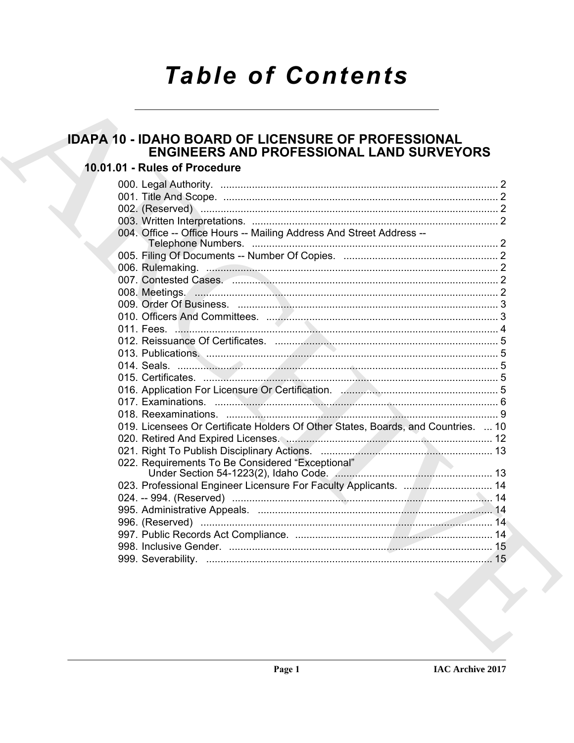# **Table of Contents**

# **IDAPA 10 - IDAHO BOARD OF LICENSURE OF PROFESSIONAL ENGINEERS AND PROFESSIONAL LAND SURVEYORS**

# 10.01.01 - Rules of Procedure

| 019. Licensees Or Certificate Holders Of Other States, Boards, and Countries.  10 |
|-----------------------------------------------------------------------------------|
|                                                                                   |
|                                                                                   |
|                                                                                   |
|                                                                                   |
| 023. Professional Engineer Licensure For Faculty Applicants.  14                  |
|                                                                                   |
|                                                                                   |
|                                                                                   |
|                                                                                   |
|                                                                                   |
|                                                                                   |
|                                                                                   |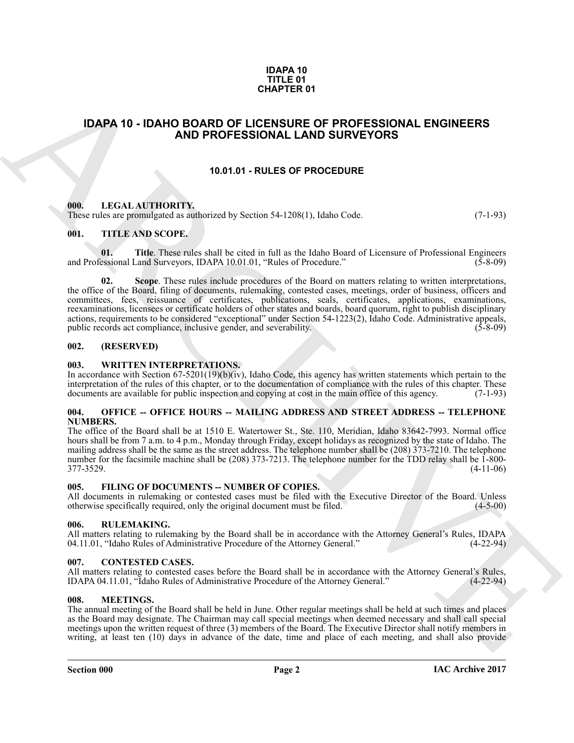#### **IDAPA 10 TITLE 01 CHAPTER 01**

## <span id="page-1-0"></span>**IDAPA 10 - IDAHO BOARD OF LICENSURE OF PROFESSIONAL ENGINEERS AND PROFESSIONAL LAND SURVEYORS**

#### **10.01.01 - RULES OF PROCEDURE**

#### <span id="page-1-2"></span><span id="page-1-1"></span>**000. LEGAL AUTHORITY.**

These rules are promulgated as authorized by Section 54-1208(1), Idaho Code. (7-1-93)

#### <span id="page-1-3"></span>**001. TITLE AND SCOPE.**

**01.** Title. These rules shall be cited in full as the Idaho Board of Licensure of Professional Engineers essional Land Surveyors, IDAPA 10.01.01, "Rules of Procedure." (5-8-09) and Professional Land Surveyors, IDAPA 10.01.01, "Rules of Procedure."

**CHAPTER 01**<br> **IDAPA 10 - IDAPA BOARD OF LICENSIDE OF PROCESSIONAL ENGINEERS**<br> **AND PROFESSIONAL CAND SURVEYORS**<br> **AND PROFESSIONAL CAND SURVEYORS**<br> **ARCHIVE AND TRIVEN AND PROFESSIONAL CAND SURVEYORS**<br> **ARCHIVE AND TRIVE 02.** Scope. These rules include procedures of the Board on matters relating to written interpretations, the office of the Board, filing of documents, rulemaking, contested cases, meetings, order of business, officers and committees, fees, reissuance of certificates, publications, seals, certificates, applications, examinations, reexaminations, licensees or certificate holders of other states and boards, board quorum, right to publish disciplinary actions, requirements to be considered "exceptional" under Section 54-1223(2), Idaho Code. Administrative appeals, public records act compliance, inclusive gender, and severability.

#### <span id="page-1-4"></span>**002. (RESERVED)**

#### <span id="page-1-5"></span>**003. WRITTEN INTERPRETATIONS.**

In accordance with Section 67-5201(19)(b)(iv), Idaho Code, this agency has written statements which pertain to the interpretation of the rules of this chapter, or to the documentation of compliance with the rules of this chapter. These documents are available for public inspection and copying at cost in the main office of this agency. (7-1-93)

#### <span id="page-1-6"></span>**004. OFFICE -- OFFICE HOURS -- MAILING ADDRESS AND STREET ADDRESS -- TELEPHONE NUMBERS.**

The office of the Board shall be at 1510 E. Watertower St., Ste. 110, Meridian, Idaho 83642-7993. Normal office hours shall be from 7 a.m. to 4 p.m., Monday through Friday, except holidays as recognized by the state of Idaho. The mailing address shall be the same as the street address. The telephone number shall be (208) 373-7210. The telephone number for the facsimile machine shall be (208) 373-7213. The telephone number for the TDD relay shall be 1-800-<br>(4-11-06) 377-3529. (4-11-06)

#### <span id="page-1-7"></span>**005. FILING OF DOCUMENTS -- NUMBER OF COPIES.**

All documents in rulemaking or contested cases must be filed with the Executive Director of the Board. Unless otherwise specifically required, only the original document must be filed. (4-5-00) otherwise specifically required, only the original document must be filed.

#### <span id="page-1-8"></span>**006. RULEMAKING.**

All matters relating to rulemaking by the Board shall be in accordance with the Attorney General's Rules, IDAPA 04.11.01, "Idaho Rules of Administrative Procedure of the Attorney General." (4-22-94)

#### <span id="page-1-9"></span>**007. CONTESTED CASES.**

All matters relating to contested cases before the Board shall be in accordance with the Attorney General's Rules, IDAPA 04.11.01, "Idaho Rules of Administrative Procedure of the Attorney General." (4-22-94) IDAPA 04.11.01, "Idaho Rules of Administrative Procedure of the Attorney General."

#### <span id="page-1-11"></span><span id="page-1-10"></span>**008. MEETINGS.**

The annual meeting of the Board shall be held in June. Other regular meetings shall be held at such times and places as the Board may designate. The Chairman may call special meetings when deemed necessary and shall call special meetings upon the written request of three (3) members of the Board. The Executive Director shall notify members in writing, at least ten (10) days in advance of the date, time and place of each meeting, and shall also provide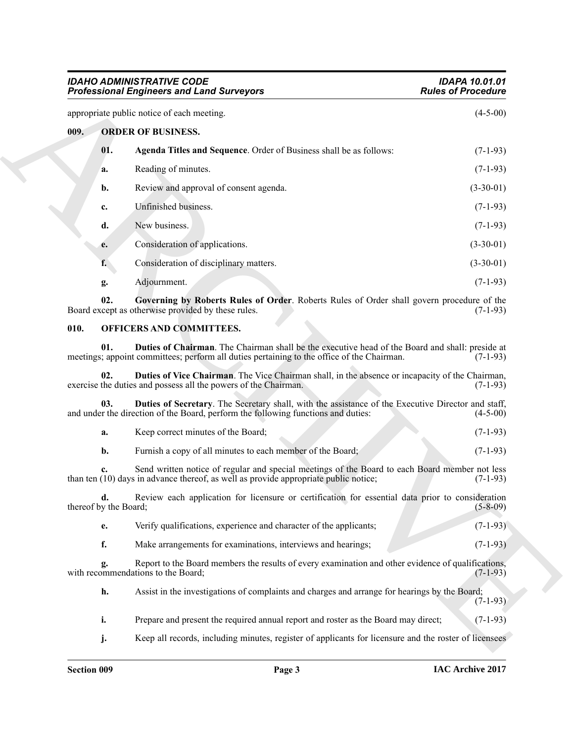<span id="page-2-7"></span><span id="page-2-6"></span><span id="page-2-0"></span>

|      |                             | <b>IDAHO ADMINISTRATIVE CODE</b><br><b>Professional Engineers and Land Surveyors</b>                                                                                                          | <b>IDAPA 10.01.01</b><br><b>Rules of Procedure</b> |
|------|-----------------------------|-----------------------------------------------------------------------------------------------------------------------------------------------------------------------------------------------|----------------------------------------------------|
|      |                             | appropriate public notice of each meeting.                                                                                                                                                    | $(4-5-00)$                                         |
| 009. |                             | <b>ORDER OF BUSINESS.</b>                                                                                                                                                                     |                                                    |
|      | 01.                         | Agenda Titles and Sequence. Order of Business shall be as follows:                                                                                                                            | $(7-1-93)$                                         |
|      | a.                          | Reading of minutes.                                                                                                                                                                           | $(7-1-93)$                                         |
|      | b.                          | Review and approval of consent agenda.                                                                                                                                                        | $(3-30-01)$                                        |
|      | c.                          | Unfinished business.                                                                                                                                                                          | $(7-1-93)$                                         |
|      | d.                          | New business.                                                                                                                                                                                 | $(7-1-93)$                                         |
|      | e.                          | Consideration of applications.                                                                                                                                                                | $(3-30-01)$                                        |
|      | f.                          | Consideration of disciplinary matters.                                                                                                                                                        | $(3-30-01)$                                        |
|      | g.                          | Adjournment.                                                                                                                                                                                  | $(7-1-93)$                                         |
|      | 02.                         | Governing by Roberts Rules of Order. Roberts Rules of Order shall govern procedure of the<br>Board except as otherwise provided by these rules.                                               | $(7-1-93)$                                         |
| 010. |                             | OFFICERS AND COMMITTEES.                                                                                                                                                                      |                                                    |
|      | 01.                         | Duties of Chairman. The Chairman shall be the executive head of the Board and shall: preside at<br>meetings; appoint committees; perform all duties pertaining to the office of the Chairman. | $(7-1-93)$                                         |
|      | 02.                         | Duties of Vice Chairman. The Vice Chairman shall, in the absence or incapacity of the Chairman,<br>exercise the duties and possess all the powers of the Chairman.                            | $(7-1-93)$                                         |
|      | 03.                         | Duties of Secretary. The Secretary shall, with the assistance of the Executive Director and staff,<br>and under the direction of the Board, perform the following functions and duties:       | $(4-5-00)$                                         |
|      | a.                          | Keep correct minutes of the Board;                                                                                                                                                            | $(7-1-93)$                                         |
|      | b.                          | Furnish a copy of all minutes to each member of the Board;                                                                                                                                    | $(7-1-93)$                                         |
|      | c.                          | Send written notice of regular and special meetings of the Board to each Board member not less<br>than ten (10) days in advance thereof, as well as provide appropriate public notice;        | $(7-1-93)$                                         |
|      | d.<br>thereof by the Board; | Review each application for licensure or certification for essential data prior to consideration                                                                                              | $(5-8-09)$                                         |
|      | e.                          | Verify qualifications, experience and character of the applicants;                                                                                                                            | $(7-1-93)$                                         |
|      | f.                          | Make arrangements for examinations, interviews and hearings;                                                                                                                                  | $(7-1-93)$                                         |
|      | g.                          | Report to the Board members the results of every examination and other evidence of qualifications,<br>with recommendations to the Board;                                                      | $(7-1-93)$                                         |
|      | h.                          | Assist in the investigations of complaints and charges and arrange for hearings by the Board;                                                                                                 | $(7-1-93)$                                         |
|      | i.                          | Prepare and present the required annual report and roster as the Board may direct;                                                                                                            | $(7-1-93)$                                         |
|      | j.                          | Keep all records, including minutes, register of applicants for licensure and the roster of licensees                                                                                         |                                                    |

#### <span id="page-2-8"></span><span id="page-2-3"></span><span id="page-2-2"></span><span id="page-2-1"></span>**010. OFFICERS AND COMMITTEES.**

<span id="page-2-5"></span><span id="page-2-4"></span>

|  | Keep correct minutes of the Board; |  |  |  |  |  | $(7-1-93)$ |
|--|------------------------------------|--|--|--|--|--|------------|
|--|------------------------------------|--|--|--|--|--|------------|

| Furnish a copy of all minutes to each member of the Board; | $(7-1-93)$ |
|------------------------------------------------------------|------------|
|------------------------------------------------------------|------------|

- **e.** Verify qualifications, experience and character of the applicants; (7-1-93)
- **f.** Make arrangements for examinations, interviews and hearings; (7-1-93)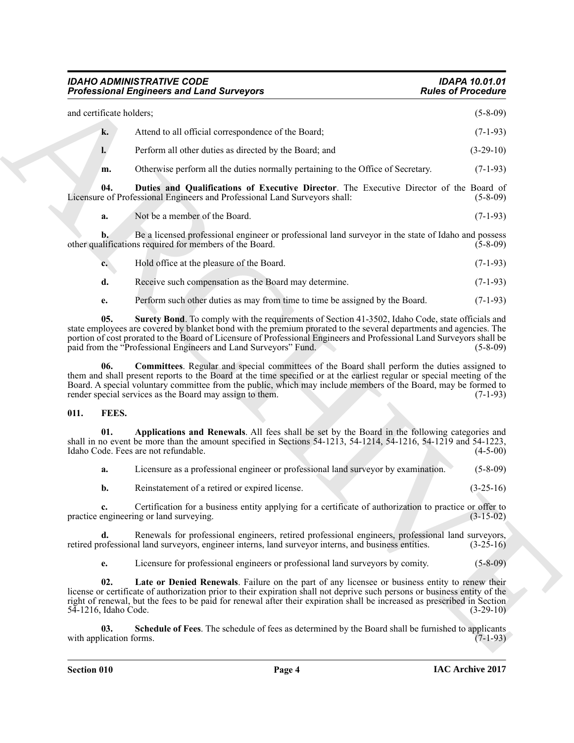#### <span id="page-3-5"></span>*IDAHO ADMINISTRATIVE CODE IDAPA 10.01.01* **Professional Engineers and Land Surveyors**

|                             | <b>Professional Engineers and Land Surveyors</b>                                                                                                                                                                                                                                                                                                                                                                   | <b>Rules of Procedure</b> |
|-----------------------------|--------------------------------------------------------------------------------------------------------------------------------------------------------------------------------------------------------------------------------------------------------------------------------------------------------------------------------------------------------------------------------------------------------------------|---------------------------|
| and certificate holders;    |                                                                                                                                                                                                                                                                                                                                                                                                                    | $(5-8-09)$                |
| k.                          | Attend to all official correspondence of the Board;                                                                                                                                                                                                                                                                                                                                                                | $(7-1-93)$                |
| l.                          | Perform all other duties as directed by the Board; and                                                                                                                                                                                                                                                                                                                                                             | $(3-29-10)$               |
| m.                          | Otherwise perform all the duties normally pertaining to the Office of Secretary.                                                                                                                                                                                                                                                                                                                                   | $(7-1-93)$                |
| 04.                         | Duties and Qualifications of Executive Director. The Executive Director of the Board of<br>Licensure of Professional Engineers and Professional Land Surveyors shall:                                                                                                                                                                                                                                              | $(5-8-09)$                |
| a.                          | Not be a member of the Board.                                                                                                                                                                                                                                                                                                                                                                                      | $(7-1-93)$                |
| b.                          | Be a licensed professional engineer or professional land surveyor in the state of Idaho and possess<br>other qualifications required for members of the Board.                                                                                                                                                                                                                                                     | $(5-8-09)$                |
| $c_{\cdot}$                 | Hold office at the pleasure of the Board.                                                                                                                                                                                                                                                                                                                                                                          | $(7-1-93)$                |
| d.                          | Receive such compensation as the Board may determine.                                                                                                                                                                                                                                                                                                                                                              | $(7-1-93)$                |
| е.                          | Perform such other duties as may from time to time be assigned by the Board.                                                                                                                                                                                                                                                                                                                                       | $(7-1-93)$                |
| 05.                         | Surety Bond. To comply with the requirements of Section 41-3502, Idaho Code, state officials and<br>state employees are covered by blanket bond with the premium prorated to the several departments and agencies. The<br>portion of cost prorated to the Board of Licensure of Professional Engineers and Professional Land Surveyors shall be<br>paid from the "Professional Engineers and Land Surveyors" Fund. | $(5-8-09)$                |
| 06.                         | <b>Committees.</b> Regular and special committees of the Board shall perform the duties assigned to<br>them and shall present reports to the Board at the time specified or at the earliest regular or special meeting of the<br>Board. A special voluntary committee from the public, which may include members of the Board, may be formed to<br>render special services as the Board may assign to them.        | $(7-1-93)$                |
| FEES.<br>011.               |                                                                                                                                                                                                                                                                                                                                                                                                                    |                           |
| 01.                         | Applications and Renewals. All fees shall be set by the Board in the following categories and<br>shall in no event be more than the amount specified in Sections $54-1213$ , $54-1214$ , $54-1216$ , $54-1219$ and $54-1223$ ,<br>Idaho Code. Fees are not refundable.                                                                                                                                             | $(4-5-00)$                |
| a.                          | Licensure as a professional engineer or professional land surveyor by examination.                                                                                                                                                                                                                                                                                                                                 | $(5-8-09)$                |
| b.                          | Reinstatement of a retired or expired license.                                                                                                                                                                                                                                                                                                                                                                     | $(3-25-16)$               |
|                             | Certification for a business entity applying for a certificate of authorization to practice or offer to<br>practice engineering or land surveying.                                                                                                                                                                                                                                                                 | $(3-15-02)$               |
| d.                          | Renewals for professional engineers, retired professional engineers, professional land surveyors,<br>retired professional land surveyors, engineer interns, land surveyor interns, and business entities.                                                                                                                                                                                                          | $(3-25-16)$               |
|                             | Licensure for professional engineers or professional land surveyors by comity.                                                                                                                                                                                                                                                                                                                                     | $(5 - 8 - 09)$            |
| e.                          |                                                                                                                                                                                                                                                                                                                                                                                                                    |                           |
| 02.<br>54-1216, Idaho Code. | Late or Denied Renewals. Failure on the part of any licensee or business entity to renew their<br>license or certificate of authorization prior to their expiration shall not deprive such persons or business entity of the<br>right of renewal, but the fees to be paid for renewal after their expiration shall be increased as prescribed in Section                                                           | $(3-29-10)$               |

#### <span id="page-3-6"></span><span id="page-3-4"></span><span id="page-3-2"></span><span id="page-3-0"></span>**011. FEES.**

<span id="page-3-7"></span><span id="page-3-3"></span><span id="page-3-1"></span>

| а. | Licensure as a professional engineer or professional land surveyor by examination. | $(5-8-09)$  |
|----|------------------------------------------------------------------------------------|-------------|
|    | Reinstatement of a retired or expired license.                                     | $(3-25-16)$ |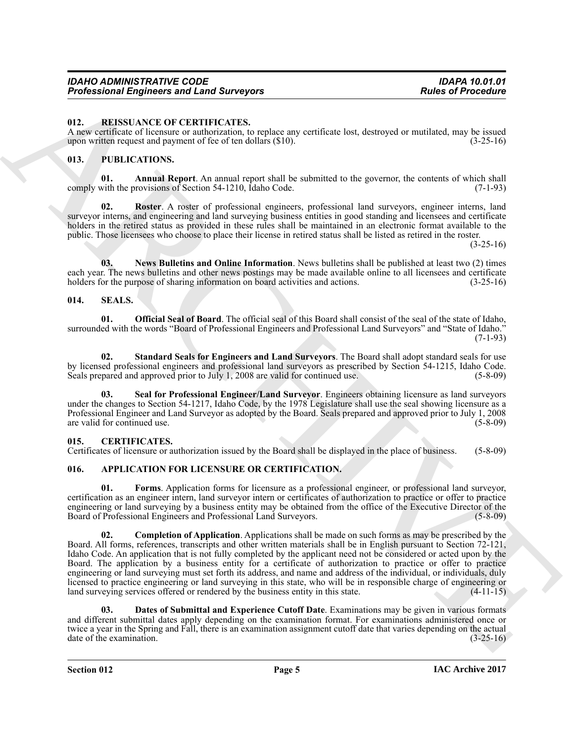#### <span id="page-4-13"></span><span id="page-4-0"></span>**012. REISSUANCE OF CERTIFICATES.**

A new certificate of licensure or authorization, to replace any certificate lost, destroyed or mutilated, may be issued upon written request and payment of fee of ten dollars (\$10). (3-25-16)

#### <span id="page-4-9"></span><span id="page-4-1"></span>**013. PUBLICATIONS.**

<span id="page-4-10"></span>**Annual Report**. An annual report shall be submitted to the governor, the contents of which shall provisions of Section 54-1210, Idaho Code. (7-1-93) comply with the provisions of Section 54-1210, Idaho Code.

<span id="page-4-12"></span>**02. Roster**. A roster of professional engineers, professional land surveyors, engineer interns, land surveyor interns, and engineering and land surveying business entities in good standing and licensees and certificate holders in the retired status as provided in these rules shall be maintained in an electronic format available to the public. Those licensees who choose to place their license in retired status shall be listed as retired in the roster.

 $(3-25-16)$ 

<span id="page-4-11"></span>**03. News Bulletins and Online Information**. News bulletins shall be published at least two (2) times each year. The news bulletins and other news postings may be made available online to all licensees and certificate holders for the purpose of sharing information on board activities and actions. (3-25-16)

#### <span id="page-4-14"></span><span id="page-4-2"></span>**014. SEALS.**

<span id="page-4-15"></span>**01. Official Seal of Board**. The official seal of this Board shall consist of the seal of the state of Idaho, surrounded with the words "Board of Professional Engineers and Professional Land Surveyors" and "State of Idaho."  $(7-1-93)$ 

<span id="page-4-17"></span>**02. Standard Seals for Engineers and Land Surveyors**. The Board shall adopt standard seals for use by licensed professional engineers and professional land surveyors as prescribed by Section 54-1215, Idaho Code.<br>Seals prepared and approved prior to July 1, 2008 are valid for continued use. (5-8-09) Seals prepared and approved prior to July 1, 2008 are valid for continued use.

<span id="page-4-16"></span>**03. Seal for Professional Engineer/Land Surveyor**. Engineers obtaining licensure as land surveyors under the changes to Section 54-1217, Idaho Code, by the 1978 Legislature shall use the seal showing licensure as a Professional Engineer and Land Surveyor as adopted by the Board. Seals prepared and approved prior to July 1, 2008 are valid for continued use. (5-8-09)

#### <span id="page-4-8"></span><span id="page-4-3"></span>**015. CERTIFICATES.**

Certificates of licensure or authorization issued by the Board shall be displayed in the place of business. (5-8-09)

#### <span id="page-4-4"></span>**016. APPLICATION FOR LICENSURE OR CERTIFICATION.**

<span id="page-4-7"></span><span id="page-4-5"></span>**01. Forms**. Application forms for licensure as a professional engineer, or professional land surveyor, certification as an engineer intern, land surveyor intern or certificates of authorization to practice or offer to practice engineering or land surveying by a business entity may be obtained from the office of the Executive Director of the Board of Professional Engineers and Professional Land Surveyors. (5-8-09) Board of Professional Engineers and Professional Land Surveyors.

Profits around Empire can sell fund Surveyors<br>
12. **RECENT UNITED CONTINENTS**<br>
13. **RECENT INTERFERENCES**<br>
13. **ARCHIVENTS CONTINENTS (CONTINENTS)**<br>
14. **ARCHIVENTS CONTINENTS**<br>
14. **PERD INTERFERENCE CONTINENTS (CONTINEN 02. Completion of Application**. Applications shall be made on such forms as may be prescribed by the Board. All forms, references, transcripts and other written materials shall be in English pursuant to Section 72-121, Idaho Code. An application that is not fully completed by the applicant need not be considered or acted upon by the Board. The application by a business entity for a certificate of authorization to practice or offer to practice engineering or land surveying must set forth its address, and name and address of the individual, or individuals, duly licensed to practice engineering or land surveying in this state, who will be in responsible charge of engineering or land surveying services offered or rendered by the business entity in this state. (4-11-15)

<span id="page-4-6"></span>**03. Dates of Submittal and Experience Cutoff Date**. Examinations may be given in various formats and different submittal dates apply depending on the examination format. For examinations administered once or twice a year in the Spring and Fall, there is an examination assignment cutoff date that varies depending on the actual date of the examination. (3-25-16) date of the examination.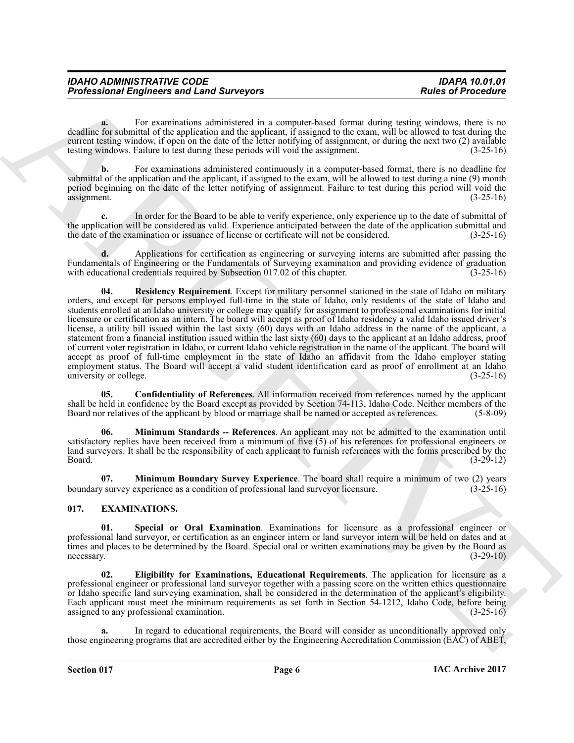| <b>IDAHO ADMINISTRATIVE CODE</b>                 |  |  |
|--------------------------------------------------|--|--|
| <b>Professional Engineers and Land Surveyors</b> |  |  |

For examinations administered in a computer-based format during testing windows, there is no deadline for submittal of the application and the applicant, if assigned to the exam, will be allowed to test during the current testing window, if open on the date of the letter notifying of assignment, or during the next two (2) available testing windows. Failure to test during these periods will void the assignment. (3-25-16)

**b.** For examinations administered continuously in a computer-based format, there is no deadline for submittal of the application and the applicant, if assigned to the exam, will be allowed to test during a nine (9) month period beginning on the date of the letter notifying of assignment. Failure to test during this period will void the assignment. (3-25-16)

**c.** In order for the Board to be able to verify experience, only experience up to the date of submittal of the application will be considered as valid. Experience anticipated between the date of the application submittal and the date of the examination or issuance of license or certificate will not be considered.  $(3-25-16)$ the date of the examination or issuance of license or certificate will not be considered.

<span id="page-5-4"></span>**d.** Applications for certification as engineering or surveying interns are submitted after passing the Fundamentals of Engineering or the Fundamentals of Surveying examination and providing evidence of graduation with educational credentials required by Subsection 017.02 of this chapter. (3-25-16) with educational credentials required by Subsection  $017.02$  of this chapter.

Profits around Empiricans and Lend Surveyors<br>
For the system and Lend Surveyors<br>
Southwest projection in a compare based on a compare based on the system and the system of the system and<br>
southwest projection in a compare **04. Residency Requirement**. Except for military personnel stationed in the state of Idaho on military orders, and except for persons employed full-time in the state of Idaho, only residents of the state of Idaho and students enrolled at an Idaho university or college may qualify for assignment to professional examinations for initial licensure or certification as an intern. The board will accept as proof of Idaho residency a valid Idaho issued driver's license, a utility bill issued within the last sixty (60) days with an Idaho address in the name of the applicant, a statement from a financial institution issued within the last sixty (60) days to the applicant at an Idaho address, proof of current voter registration in Idaho, or current Idaho vehicle registration in the name of the applicant. The board will accept as proof of full-time employment in the state of Idaho an affidavit from the Idaho employer stating employment status. The Board will accept a valid student identification card as proof of enrollment at an Idaho<br>(3-25-16) (3-25-16) university or college.

<span id="page-5-1"></span>**05. Confidentiality of References**. All information received from references named by the applicant shall be held in confidence by the Board except as provided by Section 74-113, Idaho Code. Neither members of the Board nor relatives of the applicant by blood or marriage shall be named or accepted as references. (5-8-09)

<span id="page-5-3"></span>**06. Minimum Standards -- References**. An applicant may not be admitted to the examination until satisfactory replies have been received from a minimum of five (5) of his references for professional engineers or land surveyors. It shall be the responsibility of each applicant to furnish references with the forms prescribed by the Board. (3-29-12) Board. (3-29-12)

<span id="page-5-2"></span>**07. Minimum Boundary Survey Experience**. The board shall require a minimum of two (2) years v survey experience as a condition of professional land survey ricensure. (3-25-16) boundary survey experience as a condition of professional land surveyor licensure.

#### <span id="page-5-5"></span><span id="page-5-0"></span>**017. EXAMINATIONS.**

<span id="page-5-7"></span>**Special or Oral Examination**. Examinations for licensure as a professional engineer or professional land surveyor, or certification as an engineer intern or land surveyor intern will be held on dates and at times and places to be determined by the Board. Special oral or written examinations may be given by the Board as necessary. (3-29-10) necessary.  $(3-29-10)$ 

<span id="page-5-6"></span>**02. Eligibility for Examinations, Educational Requirements**. The application for licensure as a professional engineer or professional land surveyor together with a passing score on the written ethics questionnaire or Idaho specific land surveying examination, shall be considered in the determination of the applicant's eligibility. Each applicant must meet the minimum requirements as set forth in Section 54-1212, Idaho Code, before being assigned to any professional examination. (3-25-16) assigned to any professional examination.

**a.** In regard to educational requirements, the Board will consider as unconditionally approved only those engineering programs that are accredited either by the Engineering Accreditation Commission (EAC) of ABET,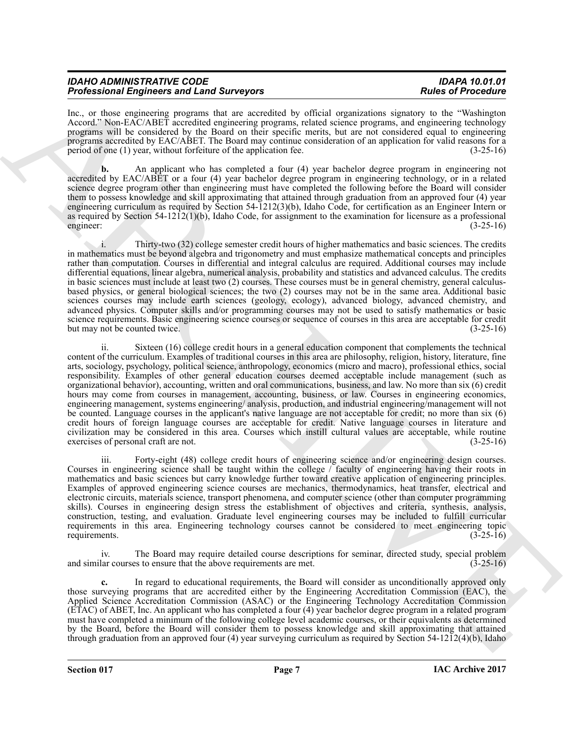| <b>IDAHO ADMINISTRATIVE CODE</b>                 | <b>IDAPA 10.01.01</b>     |
|--------------------------------------------------|---------------------------|
| <b>Professional Engineers and Land Surveyors</b> | <b>Rules of Procedure</b> |

Inc., or those engineering programs that are accredited by official organizations signatory to the "Washington Accord." Non-EAC/ABET accredited engineering programs, related science programs, and engineering technology programs will be considered by the Board on their specific merits, but are not considered equal to engineering programs accredited by EAC/ABET. The Board may continue consideration of an application for valid reasons for a period of one (1) year, without forfeiture of the application fee. (3-25-16)

**b.** An applicant who has completed a four (4) year bachelor degree program in engineering not accredited by EAC/ABET or a four (4) year bachelor degree program in engineering technology, or in a related science degree program other than engineering must have completed the following before the Board will consider them to possess knowledge and skill approximating that attained through graduation from an approved four (4) year engineering curriculum as required by Section 54-1212(3)(b), Idaho Code, for certification as an Engineer Intern or as required by Section 54-1212(1)(b), Idaho Code, for assignment to the examination for licensure as a professional engineer:  $(3-25-16)$ engineer:  $(3-25-16)$ 

i. Thirty-two (32) college semester credit hours of higher mathematics and basic sciences. The credits in mathematics must be beyond algebra and trigonometry and must emphasize mathematical concepts and principles rather than computation. Courses in differential and integral calculus are required. Additional courses may include differential equations, linear algebra, numerical analysis, probability and statistics and advanced calculus. The credits in basic sciences must include at least two (2) courses. These courses must be in general chemistry, general calculusbased physics, or general biological sciences; the two (2) courses may not be in the same area. Additional basic sciences courses may include earth sciences (geology, ecology), advanced biology, advanced chemistry, and advanced physics. Computer skills and/or programming courses may not be used to satisfy mathematics or basic science requirements. Basic engineering science courses or sequence of courses in this area are acceptable for credit<br>(3-25-16) (3-25-16) but may not be counted twice.

Probastion Employees and Employees and Security to the limit symmetries and the Probastic Proceed Construction (1992) and the symmetric interaction in the symmetric interaction (1992) and the symmetric interaction (1992) ii. Sixteen (16) college credit hours in a general education component that complements the technical content of the curriculum. Examples of traditional courses in this area are philosophy, religion, history, literature, fine arts, sociology, psychology, political science, anthropology, economics (micro and macro), professional ethics, social responsibility. Examples of other general education courses deemed acceptable include management (such as organizational behavior), accounting, written and oral communications, business, and law. No more than six (6) credit hours may come from courses in management, accounting, business, or law. Courses in engineering economics, engineering management, systems engineering/ analysis, production, and industrial engineering/management will not be counted. Language courses in the applicant's native language are not acceptable for credit; no more than six (6) credit hours of foreign language courses are acceptable for credit. Native language courses in literature and civilization may be considered in this area. Courses which instill cultural values are acceptable, while routine exercises of personal craft are not.

iii. Forty-eight (48) college credit hours of engineering science and/or engineering design courses. Courses in engineering science shall be taught within the college / faculty of engineering having their roots in mathematics and basic sciences but carry knowledge further toward creative application of engineering principles. Examples of approved engineering science courses are mechanics, thermodynamics, heat transfer, electrical and electronic circuits, materials science, transport phenomena, and computer science (other than computer programming skills). Courses in engineering design stress the establishment of objectives and criteria, synthesis, analysis, construction, testing, and evaluation. Graduate level engineering courses may be included to fulfill curricular requirements in this area. Engineering technology courses cannot be considered to meet engineering topic requirements. (3-25-16) requirements.

The Board may require detailed course descriptions for seminar, directed study, special problem es to ensure that the above requirements are met.  $(3-25-16)$ and similar courses to ensure that the above requirements are met.

**c.** In regard to educational requirements, the Board will consider as unconditionally approved only those surveying programs that are accredited either by the Engineering Accreditation Commission (EAC), the Applied Science Accreditation Commission (ASAC) or the Engineering Technology Accreditation Commission (ETAC) of ABET, Inc. An applicant who has completed a four (4) year bachelor degree program in a related program must have completed a minimum of the following college level academic courses, or their equivalents as determined by the Board, before the Board will consider them to possess knowledge and skill approximating that attained through graduation from an approved four (4) year surveying curriculum as required by Section 54-1212(4)(b), Idaho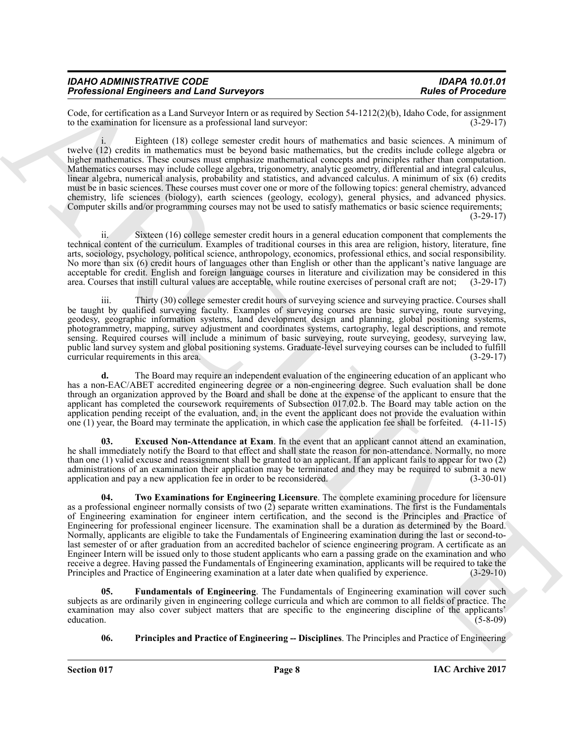#### *IDAHO ADMINISTRATIVE CODE IDAPA 10.01.01 Professional Engineers and Land Surveyors*

Code, for certification as a Land Surveyor Intern or as required by Section 54-1212(2)(b), Idaho Code, for assignment to the examination for licensure as a professional land surveyor:  $(3-29-17)$ to the examination for licensure as a professional land surveyor:

Eighteen (18) college semester credit hours of mathematics and basic sciences. A minimum of twelve (12) credits in mathematics must be beyond basic mathematics, but the credits include college algebra or higher mathematics. These courses must emphasize mathematical concepts and principles rather than computation. Mathematics courses may include college algebra, trigonometry, analytic geometry, differential and integral calculus, linear algebra, numerical analysis, probability and statistics, and advanced calculus. A minimum of six (6) credits must be in basic sciences. These courses must cover one or more of the following topics: general chemistry, advanced chemistry, life sciences (biology), earth sciences (geology, ecology), general physics, and advanced physics. Computer skills and/or programming courses may not be used to satisfy mathematics or basic science requirements; (3-29-17)

ii. Sixteen (16) college semester credit hours in a general education component that complements the technical content of the curriculum. Examples of traditional courses in this area are religion, history, literature, fine arts, sociology, psychology, political science, anthropology, economics, professional ethics, and social responsibility. No more than six (6) credit hours of languages other than English or other than the applicant's native language are acceptable for credit. English and foreign language courses in literature and civilization may be considered in this area. Courses that instill cultural values are acceptable, while routine exercises of personal craft are area. Courses that instill cultural values are acceptable, while routine exercises of personal craft are not;

iii. Thirty (30) college semester credit hours of surveying science and surveying practice. Courses shall be taught by qualified surveying faculty. Examples of surveying courses are basic surveying, route surveying, geodesy, geographic information systems, land development design and planning, global positioning systems, photogrammetry, mapping, survey adjustment and coordinates systems, cartography, legal descriptions, and remote sensing. Required courses will include a minimum of basic surveying, route surveying, geodesy, surveying law, public land survey system and global positioning systems. Graduate-level surveying courses can be included to fulfill curricular requirements in this area.

**d.** The Board may require an independent evaluation of the engineering education of an applicant who has a non-EAC/ABET accredited engineering degree or a non-engineering degree. Such evaluation shall be done through an organization approved by the Board and shall be done at the expense of the applicant to ensure that the applicant has completed the coursework requirements of Subsection 017.02.b. The Board may table action on the application pending receipt of the evaluation, and, in the event the applicant does not provide the evaluation within one (1) year, the Board may terminate the application, in which case the application fee shall be forfeited. (4-11-15)

<span id="page-7-3"></span><span id="page-7-0"></span>**03. Excused Non-Attendance at Exam**. In the event that an applicant cannot attend an examination, he shall immediately notify the Board to that effect and shall state the reason for non-attendance. Normally, no more than one (1) valid excuse and reassignment shall be granted to an applicant. If an applicant fails to appear for two (2) administrations of an examination their application may be terminated and they may be required to submit a new<br>application and pay a new application fee in order to be reconsidered. (3-30-01) application and pay a new application fee in order to be reconsidered.

From European and Law spectral and the spectral and the spectral and the spectral and the spectral and the spectral and the spectral and the spectral and the spectral and the spectral and the spectral and the spectral and **04. Two Examinations for Engineering Licensure**. The complete examining procedure for licensure as a professional engineer normally consists of two (2) separate written examinations. The first is the Fundamentals of Engineering examination for engineer intern certification, and the second is the Principles and Practice of Engineering for professional engineer licensure. The examination shall be a duration as determined by the Board. Normally, applicants are eligible to take the Fundamentals of Engineering examination during the last or second-tolast semester of or after graduation from an accredited bachelor of science engineering program. A certificate as an Engineer Intern will be issued only to those student applicants who earn a passing grade on the examination and who receive a degree. Having passed the Fundamentals of Engineering examination, applicants will be required to take the Principles and Practice of Engineering examination at a later date when qualified by experience. (3-29-10 Principles and Practice of Engineering examination at a later date when qualified by experience.

**05. Fundamentals of Engineering**. The Fundamentals of Engineering examination will cover such subjects as are ordinarily given in engineering college curricula and which are common to all fields of practice. The examination may also cover subject matters that are specific to the engineering discipline of the applicants'<br>education. (5-8-09) education. (5-8-09)

#### <span id="page-7-2"></span><span id="page-7-1"></span>**06. Principles and Practice of Engineering -- Disciplines**. The Principles and Practice of Engineering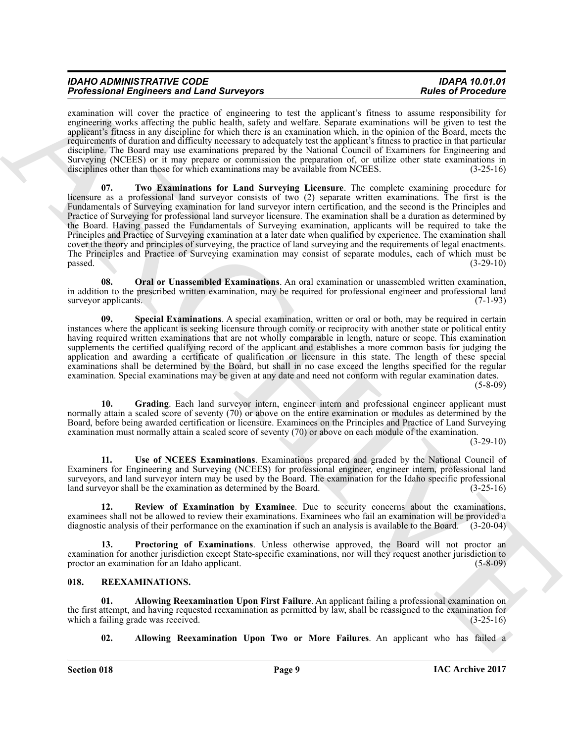| <b>IDAHO ADMINISTRATIVE CODE</b>                 | <b>IDAPA 10.01.01</b>     |
|--------------------------------------------------|---------------------------|
| <b>Professional Engineers and Land Surveyors</b> | <b>Rules of Procedure</b> |

<span id="page-8-6"></span>examination will cover the practice of engineering to test the applicant's fitness to assume responsibility for engineering works affecting the public health, safety and welfare. Separate examinations will be given to test the applicant's fitness in any discipline for which there is an examination which, in the opinion of the Board, meets the requirements of duration and difficulty necessary to adequately test the applicant's fitness to practice in that particular discipline. The Board may use examinations prepared by the National Council of Examiners for Engineering and Surveying (NCEES) or it may prepare or commission the preparation of, or utilize other state examinations in disciplines other than those for which examinations may be available from NCEES. (3-25-16) disciplines other than those for which examinations may be available from NCEES.

From Earth Engines and Length Surveyers, which the spherally state and the spherally selected in the spherally selected in the spherally selected in the spherally selected in the spherally selected in the spherally select **07. Two Examinations for Land Surveying Licensure**. The complete examining procedure for licensure as a professional land surveyor consists of two (2) separate written examinations. The first is the Fundamentals of Surveying examination for land surveyor intern certification, and the second is the Principles and Practice of Surveying for professional land surveyor licensure. The examination shall be a duration as determined by the Board. Having passed the Fundamentals of Surveying examination, applicants will be required to take the Principles and Practice of Surveying examination at a later date when qualified by experience. The examination shall cover the theory and principles of surveying, the practice of land surveying and the requirements of legal enactments. The Principles and Practice of Surveying examination may consist of separate modules, each of which must be passed. (3-29-10)  $p$ assed.  $(3-29-10)$ 

<span id="page-8-2"></span>**08. Oral or Unassembled Examinations**. An oral examination or unassembled written examination, in addition to the prescribed written examination, may be required for professional engineer and professional land<br>(7-1-93) surveyor applicants.

<span id="page-8-5"></span>**09. Special Examinations**. A special examination, written or oral or both, may be required in certain instances where the applicant is seeking licensure through comity or reciprocity with another state or political entity having required written examinations that are not wholly comparable in length, nature or scope. This examination supplements the certified qualifying record of the applicant and establishes a more common basis for judging the application and awarding a certificate of qualification or licensure in this state. The length of these special examinations shall be determined by the Board, but shall in no case exceed the lengths specified for the regular examination. Special examinations may be given at any date and need not conform with regular examination dates.

(5-8-09)

<span id="page-8-1"></span>**10. Grading**. Each land surveyor intern, engineer intern and professional engineer applicant must normally attain a scaled score of seventy (70) or above on the entire examination or modules as determined by the Board, before being awarded certification or licensure. Examinees on the Principles and Practice of Land Surveying examination must normally attain a scaled score of seventy (70) or above on each module of the examination.

(3-29-10)

<span id="page-8-7"></span>**11. Use of NCEES Examinations**. Examinations prepared and graded by the National Council of Examiners for Engineering and Surveying (NCEES) for professional engineer, engineer intern, professional land surveyors, and land surveyor intern may be used by the Board. The examination for the Idaho specific professional land surveyor shall be the examination as determined by the Board. (3-25-16) land surveyor shall be the examination as determined by the Board.

<span id="page-8-4"></span>**12. Review of Examination by Examinee**. Due to security concerns about the examinations, examinees shall not be allowed to review their examinations. Examinees who fail an examination will be provided a diagnostic analysis of their performance on the examination if such an analysis is available to the Board. (3-20-04)

<span id="page-8-3"></span>**13. Proctoring of Examinations**. Unless otherwise approved, the Board will not proctor an examination for another jurisdiction except State-specific examinations, nor will they request another jurisdiction to proctor an examination for an Idaho applicant. (5-8-09)

#### <span id="page-8-8"></span><span id="page-8-0"></span>**018. REEXAMINATIONS.**

**01. Allowing Reexamination Upon First Failure**. An applicant failing a professional examination on the first attempt, and having requested reexamination as permitted by law, shall be reassigned to the examination for which a failing grade was received. (3-25-16) which a failing grade was received.

<span id="page-8-10"></span><span id="page-8-9"></span>**02. Allowing Reexamination Upon Two or More Failures**. An applicant who has failed a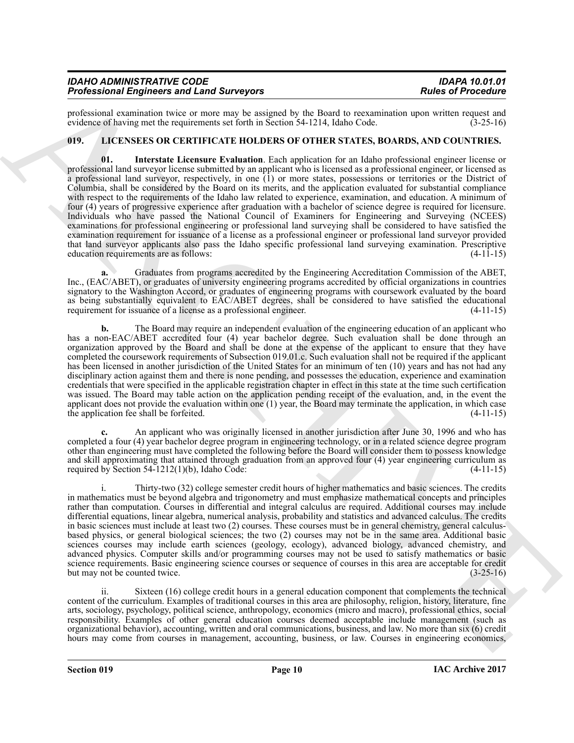| <b>IDAHO ADMINISTRATIVE CODE</b>                 | <b>IDAPA 10.01.01</b>     |
|--------------------------------------------------|---------------------------|
| <b>Professional Engineers and Land Surveyors</b> | <b>Rules of Procedure</b> |

professional examination twice or more may be assigned by the Board to reexamination upon written request and evidence of having met the requirements set forth in Section 54-1214, Idaho Code. (3-25-16) evidence of having met the requirements set forth in Section 54-1214, Idaho Code.

#### <span id="page-9-1"></span><span id="page-9-0"></span>**019. LICENSEES OR CERTIFICATE HOLDERS OF OTHER STATES, BOARDS, AND COUNTRIES.**

Probasional Engineeras and Lens Conservations of the Sixterior Conservation and Results of Proceeding Conservation and Results of Proceeding Conservation and Results of the Sixterior Conservation and Results of the Sixter **01. Interstate Licensure Evaluation**. Each application for an Idaho professional engineer license or professional land surveyor license submitted by an applicant who is licensed as a professional engineer, or licensed as a professional land surveyor, respectively, in one (1) or more states, possessions or territories or the District of Columbia, shall be considered by the Board on its merits, and the application evaluated for substantial compliance with respect to the requirements of the Idaho law related to experience, examination, and education. A minimum of four (4) years of progressive experience after graduation with a bachelor of science degree is required for licensure. Individuals who have passed the National Council of Examiners for Engineering and Surveying (NCEES) examinations for professional engineering or professional land surveying shall be considered to have satisfied the examination requirement for issuance of a license as a professional engineer or professional land surveyor provided that land surveyor applicants also pass the Idaho specific professional land surveying examination. Prescriptive education requirements are as follows:

**a.** Graduates from programs accredited by the Engineering Accreditation Commission of the ABET, Inc., (EAC/ABET), or graduates of university engineering programs accredited by official organizations in countries signatory to the Washington Accord, or graduates of engineering programs with coursework evaluated by the board as being substantially equivalent to EAC/ABET degrees, shall be considered to have satisfied the educational requirement for issuance of a license as a professional engineer. (4-11-15) requirement for issuance of a license as a professional engineer.

**b.** The Board may require an independent evaluation of the engineering education of an applicant who has a non-EAC/ABET accredited four (4) year bachelor degree. Such evaluation shall be done through an organization approved by the Board and shall be done at the expense of the applicant to ensure that they have completed the coursework requirements of Subsection 019.01.c. Such evaluation shall not be required if the applicant has been licensed in another jurisdiction of the United States for an minimum of ten (10) years and has not had any disciplinary action against them and there is none pending, and possesses the education, experience and examination credentials that were specified in the applicable registration chapter in effect in this state at the time such certification was issued. The Board may table action on the application pending receipt of the evaluation, and, in the event the applicant does not provide the evaluation within one (1) year, the Board may terminate the application, in which case the application fee shall be forfeited. (4-11-15)

**c.** An applicant who was originally licensed in another jurisdiction after June 30, 1996 and who has completed a four (4) year bachelor degree program in engineering technology, or in a related science degree program other than engineering must have completed the following before the Board will consider them to possess knowledge and skill approximating that attained through graduation from an approved four (4) year engineering curriculum as required by Section  $54-1212(1)(b)$ , Idaho Code: (4-11-15)

i. Thirty-two (32) college semester credit hours of higher mathematics and basic sciences. The credits in mathematics must be beyond algebra and trigonometry and must emphasize mathematical concepts and principles rather than computation. Courses in differential and integral calculus are required. Additional courses may include differential equations, linear algebra, numerical analysis, probability and statistics and advanced calculus. The credits in basic sciences must include at least two (2) courses. These courses must be in general chemistry, general calculusbased physics, or general biological sciences; the two (2) courses may not be in the same area. Additional basic sciences courses may include earth sciences (geology, ecology), advanced biology, advanced chemistry, and advanced physics. Computer skills and/or programming courses may not be used to satisfy mathematics or basic science requirements. Basic engineering science courses or sequence of courses in this area are acceptable for credit<br>but may not be counted twice. (3-25-16) but may not be counted twice.

Sixteen  $(16)$  college credit hours in a general education component that complements the technical content of the curriculum. Examples of traditional courses in this area are philosophy, religion, history, literature, fine arts, sociology, psychology, political science, anthropology, economics (micro and macro), professional ethics, social responsibility. Examples of other general education courses deemed acceptable include management (such as organizational behavior), accounting, written and oral communications, business, and law. No more than six (6) credit hours may come from courses in management, accounting, business, or law. Courses in engineering economics,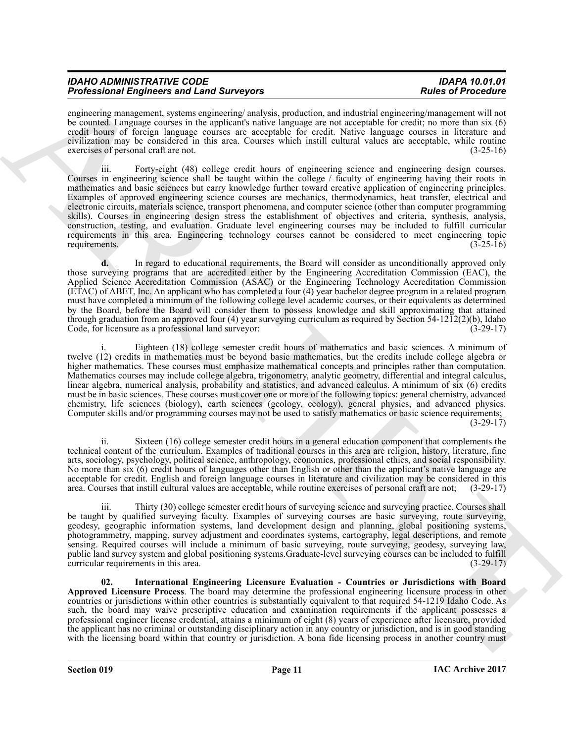| <b>IDAHO ADMINISTRATIVE CODE</b>                 | <b>IDAPA 10.01.01</b>     |
|--------------------------------------------------|---------------------------|
| <b>Professional Engineers and Land Surveyors</b> | <b>Rules of Procedure</b> |

engineering management, systems engineering/ analysis, production, and industrial engineering/management will not be counted. Language courses in the applicant's native language are not acceptable for credit; no more than six (6) credit hours of foreign language courses are acceptable for credit. Native language courses in literature and civilization may be considered in this area. Courses which instill cultural values are acceptable, while routine exercises of personal craft are not. (3-25-16)

Freeholds Finance and Lemma and the Supersy of the Supersy and the Supersy of the Supersy of the Supersy of the Supersy and the Supersy of the Supersy and the Supersy and the Supersy and the Supersy and the Supersy and th iii. Forty-eight (48) college credit hours of engineering science and engineering design courses. Courses in engineering science shall be taught within the college / faculty of engineering having their roots in mathematics and basic sciences but carry knowledge further toward creative application of engineering principles. Examples of approved engineering science courses are mechanics, thermodynamics, heat transfer, electrical and electronic circuits, materials science, transport phenomena, and computer science (other than computer programming skills). Courses in engineering design stress the establishment of objectives and criteria, synthesis, analysis, construction, testing, and evaluation. Graduate level engineering courses may be included to fulfill curricular requirements in this area. Engineering technology courses cannot be considered to meet engineering topic requirements. (3-25-16)

**d.** In regard to educational requirements, the Board will consider as unconditionally approved only those surveying programs that are accredited either by the Engineering Accreditation Commission (EAC), the Applied Science Accreditation Commission (ASAC) or the Engineering Technology Accreditation Commission (ETAC) of ABET, Inc. An applicant who has completed a four (4) year bachelor degree program in a related program must have completed a minimum of the following college level academic courses, or their equivalents as determined by the Board, before the Board will consider them to possess knowledge and skill approximating that attained through graduation from an approved four (4) year surveying curriculum as required by Section 54-12 $\overline{12}(2)(b)$ , Idaho Code, for licensure as a professional land surveyor: (3-29-17)

i. Eighteen (18) college semester credit hours of mathematics and basic sciences. A minimum of twelve (12) credits in mathematics must be beyond basic mathematics, but the credits include college algebra or higher mathematics. These courses must emphasize mathematical concepts and principles rather than computation. Mathematics courses may include college algebra, trigonometry, analytic geometry, differential and integral calculus, linear algebra, numerical analysis, probability and statistics, and advanced calculus. A minimum of six (6) credits must be in basic sciences. These courses must cover one or more of the following topics: general chemistry, advanced chemistry, life sciences (biology), earth sciences (geology, ecology), general physics, and advanced physics. Computer skills and/or programming courses may not be used to satisfy mathematics or basic science requirements;

(3-29-17)

ii. Sixteen (16) college semester credit hours in a general education component that complements the technical content of the curriculum. Examples of traditional courses in this area are religion, history, literature, fine arts, sociology, psychology, political science, anthropology, economics, professional ethics, and social responsibility. No more than six (6) credit hours of languages other than English or other than the applicant's native language are acceptable for credit. English and foreign language courses in literature and civilization may be considered in this area. Courses that instill cultural values are acceptable, while routine exercises of personal craft are area. Courses that instill cultural values are acceptable, while routine exercises of personal craft are not;

iii. Thirty (30) college semester credit hours of surveying science and surveying practice. Courses shall be taught by qualified surveying faculty. Examples of surveying courses are basic surveying, route surveying, geodesy, geographic information systems, land development design and planning, global positioning systems, photogrammetry, mapping, survey adjustment and coordinates systems, cartography, legal descriptions, and remote sensing. Required courses will include a minimum of basic surveying, route surveying, geodesy, surveying law, public land survey system and global positioning systems.Graduate-level surveying courses can be included to fulfill curricular requirements in this area.

<span id="page-10-0"></span>**02. International Engineering Licensure Evaluation - Countries or Jurisdictions with Board Approved Licensure Process**. The board may determine the professional engineering licensure process in other countries or jurisdictions within other countries is substantially equivalent to that required 54-1219 Idaho Code. As such, the board may waive prescriptive education and examination requirements if the applicant possesses a professional engineer license credential, attains a minimum of eight (8) years of experience after licensure, provided the applicant has no criminal or outstanding disciplinary action in any country or jurisdiction, and is in good standing with the licensing board within that country or jurisdiction. A bona fide licensing process in another country must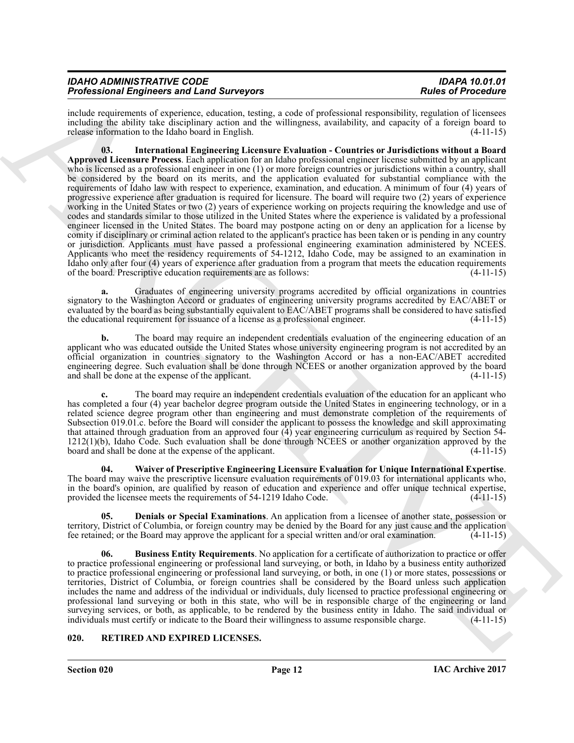| <b>IDAHO ADMINISTRATIVE CODE</b>                 | <b>IDAPA 10.01.01</b>     |
|--------------------------------------------------|---------------------------|
| <b>Professional Engineers and Land Surveyors</b> | <b>Rules of Procedure</b> |

<span id="page-11-3"></span>include requirements of experience, education, testing, a code of professional responsibility, regulation of licensees including the ability take disciplinary action and the willingness, availability, and capacity of a foreign board to release information to the Idaho board in English. (4-11-15)

Probassion Employees and Lemma and Architects and the valid and the state of Procedure and Architects and Architects and Architects and Architects and Architects and Architects and Architects and Architects and Architects **03. International Engineering Licensure Evaluation - Countries or Jurisdictions without a Board Approved Licensure Process**. Each application for an Idaho professional engineer license submitted by an applicant who is licensed as a professional engineer in one (1) or more foreign countries or jurisdictions within a country, shall be considered by the board on its merits, and the application evaluated for substantial compliance with the requirements of Idaho law with respect to experience, examination, and education. A minimum of four (4) years of progressive experience after graduation is required for licensure. The board will require two (2) years of experience working in the United States or two (2) years of experience working on projects requiring the knowledge and use of codes and standards similar to those utilized in the United States where the experience is validated by a professional engineer licensed in the United States. The board may postpone acting on or deny an application for a license by comity if disciplinary or criminal action related to the applicant's practice has been taken or is pending in any country or jurisdiction. Applicants must have passed a professional engineering examination administered by NCEES. Applicants who meet the residency requirements of 54-1212, Idaho Code, may be assigned to an examination in Idaho only after four (4) years of experience after graduation from a program that meets the education requirements of the board. Prescriptive education requirements are as follows: (4-11-15) of the board. Prescriptive education requirements are as follows:

**a.** Graduates of engineering university programs accredited by official organizations in countries signatory to the Washington Accord or graduates of engineering university programs accredited by EAC/ABET or evaluated by the board as being substantially equivalent to EAC/ABET programs shall be considered to have satisfied<br>the educational requirement for issuance of a license as a professional engineer. (4-11-15) the educational requirement for issuance of a license as a professional engineer.

**b.** The board may require an independent credentials evaluation of the engineering education of an applicant who was educated outside the United States whose university engineering program is not accredited by an official organization in countries signatory to the Washington Accord or has a non-EAC/ABET accredited engineering degree. Such evaluation shall be done through NCEES or another organization approved by the board and shall be done at the expense of the applicant. (4-11-15) and shall be done at the expense of the applicant.

**c.** The board may require an independent credentials evaluation of the education for an applicant who has completed a four (4) year bachelor degree program outside the United States in engineering technology, or in a related science degree program other than engineering and must demonstrate completion of the requirements of Subsection 019.01.c. before the Board will consider the applicant to possess the knowledge and skill approximating that attained through graduation from an approved four (4) year engineering curriculum as required by Section 54-  $1212(1)(b)$ , Idaho Code. Such evaluation shall be done through NCEES or another organization approved by the board and shall be done at the expense of the applicant. (4-11-15) board and shall be done at the expense of the applicant.

<span id="page-11-4"></span>**04. Waiver of Prescriptive Engineering Licensure Evaluation for Unique International Expertise**. The board may waive the prescriptive licensure evaluation requirements of 019.03 for international applicants who, in the board's opinion, are qualified by reason of education and experience and offer unique technical expertise, provided the licensee meets the requirements of 54-1219 Idaho Code. (4-11-15)

<span id="page-11-2"></span>**05. Denials or Special Examinations**. An application from a licensee of another state, possession or territory, District of Columbia, or foreign country may be denied by the Board for any just cause and the application<br>fee retained: or the Board may approve the applicant for a special written and/or oral examination. (4-1 fee retained; or the Board may approve the applicant for a special written and/or oral examination.

<span id="page-11-1"></span>**06. Business Entity Requirements**. No application for a certificate of authorization to practice or offer to practice professional engineering or professional land surveying, or both, in Idaho by a business entity authorized to practice professional engineering or professional land surveying, or both, in one (1) or more states, possessions or territories, District of Columbia, or foreign countries shall be considered by the Board unless such application includes the name and address of the individual or individuals, duly licensed to practice professional engineering or professional land surveying or both in this state, who will be in responsible charge of the engineering or land surveying services, or both, as applicable, to be rendered by the business entity in Idaho. The said individual or individuals must certify or indicate to the Board their willingness to assume responsible charge. (4-11-15) individuals must certify or indicate to the Board their willingness to assume responsible charge.

#### <span id="page-11-5"></span><span id="page-11-0"></span>**020. RETIRED AND EXPIRED LICENSES.**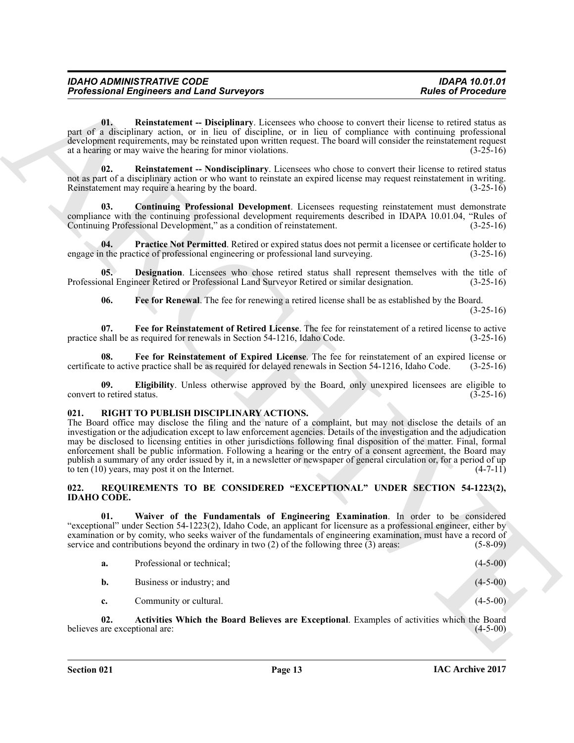<span id="page-12-12"></span>**01. Reinstatement -- Disciplinary**. Licensees who choose to convert their license to retired status as part of a disciplinary action, or in lieu of discipline, or in lieu of compliance with continuing professional development requirements, may be reinstated upon written request. The board will consider the reinstatement request at a hearing or may waive the hearing for minor violations. (3-25-16)

<span id="page-12-13"></span>**02. Reinstatement -- Nondisciplinary**. Licensees who chose to convert their license to retired status not as part of a disciplinary action or who want to reinstate an expired license may request reinstatement in writing. Reinstatement may require a hearing by the board. (3-25-16)

<span id="page-12-5"></span>**03. Continuing Professional Development**. Licensees requesting reinstatement must demonstrate compliance with the continuing professional development requirements described in IDAPA 10.01.04, "Rules of Continuing Professional Development." as a condition of reinstatement. Continuing Professional Development," as a condition of reinstatement.

<span id="page-12-11"></span>**Practice Not Permitted**. Retired or expired status does not permit a licensee or certificate holder to engage in the practice of professional engineering or professional land surveying. (3-25-16)

**Designation**. Licensees who chose retired status shall represent themselves with the title of Professional Engineer Retired or Professional Land Surveyor Retired or similar designation. (3-25-16)

<span id="page-12-10"></span><span id="page-12-9"></span><span id="page-12-8"></span><span id="page-12-6"></span>**06. Fee for Renewal**. The fee for renewing a retired license shall be as established by the Board.  $(3-25-16)$ 

**07. Fee for Reinstatement of Retired License**. The fee for reinstatement of a retired license to active practice shall be as required for renewals in Section 54-1216, Idaho Code. (3-25-16)

**08.** Fee for Reinstatement of Expired License. The fee for reinstatement of an expired license or e to active practice shall be as required for delayed renewals in Section 54-1216, Idaho Code. (3-25-16) certificate to active practice shall be as required for delayed renewals in Section 54-1216, Idaho Code.

<span id="page-12-7"></span>**09. Eligibility**. Unless otherwise approved by the Board, only unexpired licensees are eligible to o retired status. (3-25-16) convert to retired status.

#### <span id="page-12-14"></span><span id="page-12-0"></span>**021. RIGHT TO PUBLISH DISCIPLINARY ACTIONS.**

Profits around Empire can see Farming Profits and Survey or Business only clumps to cover the thermonic cover of the second section of the second section of the second section of the second section of the second section o The Board office may disclose the filing and the nature of a complaint, but may not disclose the details of an investigation or the adjudication except to law enforcement agencies. Details of the investigation and the adjudication may be disclosed to licensing entities in other jurisdictions following final disposition of the matter. Final, formal enforcement shall be public information. Following a hearing or the entry of a consent agreement, the Board may publish a summary of any order issued by it, in a newsletter or newspaper of general circulation or, for a period of up to ten (10) years, may post it on the Internet. (4-7-11)

#### <span id="page-12-4"></span><span id="page-12-1"></span>**022. REQUIREMENTS TO BE CONSIDERED "EXCEPTIONAL" UNDER SECTION 54-1223(2), IDAHO CODE.**

**01. Waiver of the Fundamentals of Engineering Examination**. In order to be considered "exceptional" under Section 54-1223(2), Idaho Code, an applicant for licensure as a professional engineer, either by examination or by comity, who seeks waiver of the fundamentals of engineering examination, must have a record of service and contributions beyond the ordinary in two (2) of the following three (3) areas: (5-8-09) service and contributions beyond the ordinary in two  $(2)$  of the following three  $(3)$  areas:

<span id="page-12-3"></span><span id="page-12-2"></span>

| а. | Professional or technical; | $(4-5-00)$ |
|----|----------------------------|------------|
| b. | Business or industry; and  | $(4-5-00)$ |
| c. | Community or cultural.     | $(4-5-00)$ |

**02.** Activities Which the Board Believes are Exceptional. Examples of activities which the Board are exceptional are: (4-5-00) believes are exceptional are: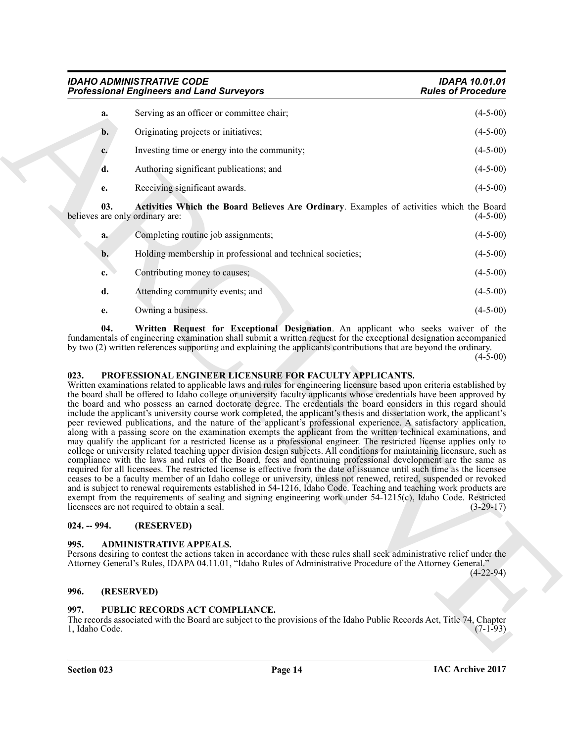<span id="page-13-6"></span>

|                | <b>IDAHO ADMINISTRATIVE CODE</b><br><b>Professional Engineers and Land Surveyors</b>                                                                                                                                                                                                                                                                                                                                                                                                                                                                                                                                                                                                                                                                                                                                                                                                                                                                                                                                                                                                                                                                                                                                                                                                                                                                                                                                                                                                                                                                                                                                                                                                                                 | <b>IDAPA 10.01.01</b><br><b>Rules of Procedure</b> |
|----------------|----------------------------------------------------------------------------------------------------------------------------------------------------------------------------------------------------------------------------------------------------------------------------------------------------------------------------------------------------------------------------------------------------------------------------------------------------------------------------------------------------------------------------------------------------------------------------------------------------------------------------------------------------------------------------------------------------------------------------------------------------------------------------------------------------------------------------------------------------------------------------------------------------------------------------------------------------------------------------------------------------------------------------------------------------------------------------------------------------------------------------------------------------------------------------------------------------------------------------------------------------------------------------------------------------------------------------------------------------------------------------------------------------------------------------------------------------------------------------------------------------------------------------------------------------------------------------------------------------------------------------------------------------------------------------------------------------------------------|----------------------------------------------------|
| a.             | Serving as an officer or committee chair;                                                                                                                                                                                                                                                                                                                                                                                                                                                                                                                                                                                                                                                                                                                                                                                                                                                                                                                                                                                                                                                                                                                                                                                                                                                                                                                                                                                                                                                                                                                                                                                                                                                                            | $(4-5-00)$                                         |
| b.             | Originating projects or initiatives;                                                                                                                                                                                                                                                                                                                                                                                                                                                                                                                                                                                                                                                                                                                                                                                                                                                                                                                                                                                                                                                                                                                                                                                                                                                                                                                                                                                                                                                                                                                                                                                                                                                                                 | $(4-5-00)$                                         |
| c.             | Investing time or energy into the community;                                                                                                                                                                                                                                                                                                                                                                                                                                                                                                                                                                                                                                                                                                                                                                                                                                                                                                                                                                                                                                                                                                                                                                                                                                                                                                                                                                                                                                                                                                                                                                                                                                                                         | $(4-5-00)$                                         |
| d.             | Authoring significant publications; and                                                                                                                                                                                                                                                                                                                                                                                                                                                                                                                                                                                                                                                                                                                                                                                                                                                                                                                                                                                                                                                                                                                                                                                                                                                                                                                                                                                                                                                                                                                                                                                                                                                                              | $(4-5-00)$                                         |
| е.             | Receiving significant awards.                                                                                                                                                                                                                                                                                                                                                                                                                                                                                                                                                                                                                                                                                                                                                                                                                                                                                                                                                                                                                                                                                                                                                                                                                                                                                                                                                                                                                                                                                                                                                                                                                                                                                        | $(4-5-00)$                                         |
| 03.            | Activities Which the Board Believes Are Ordinary. Examples of activities which the Board<br>believes are only ordinary are:                                                                                                                                                                                                                                                                                                                                                                                                                                                                                                                                                                                                                                                                                                                                                                                                                                                                                                                                                                                                                                                                                                                                                                                                                                                                                                                                                                                                                                                                                                                                                                                          | $(4-5-00)$                                         |
| a.             | Completing routine job assignments;                                                                                                                                                                                                                                                                                                                                                                                                                                                                                                                                                                                                                                                                                                                                                                                                                                                                                                                                                                                                                                                                                                                                                                                                                                                                                                                                                                                                                                                                                                                                                                                                                                                                                  | $(4-5-00)$                                         |
| $\mathbf{b}$ . | Holding membership in professional and technical societies;                                                                                                                                                                                                                                                                                                                                                                                                                                                                                                                                                                                                                                                                                                                                                                                                                                                                                                                                                                                                                                                                                                                                                                                                                                                                                                                                                                                                                                                                                                                                                                                                                                                          | $(4-5-00)$                                         |
| c.             | Contributing money to causes;                                                                                                                                                                                                                                                                                                                                                                                                                                                                                                                                                                                                                                                                                                                                                                                                                                                                                                                                                                                                                                                                                                                                                                                                                                                                                                                                                                                                                                                                                                                                                                                                                                                                                        | $(4-5-00)$                                         |
| d.             | Attending community events; and                                                                                                                                                                                                                                                                                                                                                                                                                                                                                                                                                                                                                                                                                                                                                                                                                                                                                                                                                                                                                                                                                                                                                                                                                                                                                                                                                                                                                                                                                                                                                                                                                                                                                      | $(4-5-00)$                                         |
| e.             | Owning a business.                                                                                                                                                                                                                                                                                                                                                                                                                                                                                                                                                                                                                                                                                                                                                                                                                                                                                                                                                                                                                                                                                                                                                                                                                                                                                                                                                                                                                                                                                                                                                                                                                                                                                                   | $(4-5-00)$                                         |
| 023.           | PROFESSIONAL ENGINEER LICENSURE FOR FACULTY APPLICANTS.<br>Written examinations related to applicable laws and rules for engineering licensure based upon criteria established by<br>the board shall be offered to Idaho college or university faculty applicants whose credentials have been approved by<br>the board and who possess an earned doctorate degree. The credentials the board considers in this regard should<br>include the applicant's university course work completed, the applicant's thesis and dissertation work, the applicant's<br>peer reviewed publications, and the nature of the applicant's professional experience. A satisfactory application,<br>along with a passing score on the examination exempts the applicant from the written technical examinations, and<br>may qualify the applicant for a restricted license as a professional engineer. The restricted license applies only to<br>college or university related teaching upper division design subjects. All conditions for maintaining licensure, such as<br>compliance with the laws and rules of the Board, fees and continuing professional development are the same as<br>required for all licensees. The restricted license is effective from the date of issuance until such time as the licensee<br>ceases to be a faculty member of an Idaho college or university, unless not renewed, retired, suspended or revoked<br>and is subject to renewal requirements established in 54-1216, Idaho Code. Teaching and teaching work products are<br>exempt from the requirements of sealing and signing engineering work under $54$ -1215(c), Idaho Code. Restricted<br>licensees are not required to obtain a seal. | $(3-29-17)$                                        |
| $024. - 994.$  | (RESERVED)                                                                                                                                                                                                                                                                                                                                                                                                                                                                                                                                                                                                                                                                                                                                                                                                                                                                                                                                                                                                                                                                                                                                                                                                                                                                                                                                                                                                                                                                                                                                                                                                                                                                                                           |                                                    |
| 995.           | <b>ADMINISTRATIVE APPEALS.</b><br>Persons desiring to contest the actions taken in accordance with these rules shall seek administrative relief under the<br>Attorney General's Rules, IDAPA 04.11.01, "Idaho Rules of Administrative Procedure of the Attorney General."                                                                                                                                                                                                                                                                                                                                                                                                                                                                                                                                                                                                                                                                                                                                                                                                                                                                                                                                                                                                                                                                                                                                                                                                                                                                                                                                                                                                                                            | $(4-22-94)$                                        |
| 996.           | (RESERVED)                                                                                                                                                                                                                                                                                                                                                                                                                                                                                                                                                                                                                                                                                                                                                                                                                                                                                                                                                                                                                                                                                                                                                                                                                                                                                                                                                                                                                                                                                                                                                                                                                                                                                                           |                                                    |
| 997.           | PUBLIC RECORDS ACT COMPLIANCE.<br>The records associated with the Board are subject to the provisions of the Idaho Public Records Act, Title 74, Chapter                                                                                                                                                                                                                                                                                                                                                                                                                                                                                                                                                                                                                                                                                                                                                                                                                                                                                                                                                                                                                                                                                                                                                                                                                                                                                                                                                                                                                                                                                                                                                             |                                                    |

#### <span id="page-13-7"></span><span id="page-13-5"></span><span id="page-13-0"></span>**023. PROFESSIONAL ENGINEER LICENSURE FOR FACULTY APPLICANTS.**

#### <span id="page-13-1"></span>**024. -- 994. (RESERVED)**

#### <span id="page-13-2"></span>**995. ADMINISTRATIVE APPEALS.**

#### <span id="page-13-3"></span>**996. (RESERVED)**

#### <span id="page-13-4"></span>**997. PUBLIC RECORDS ACT COMPLIANCE.**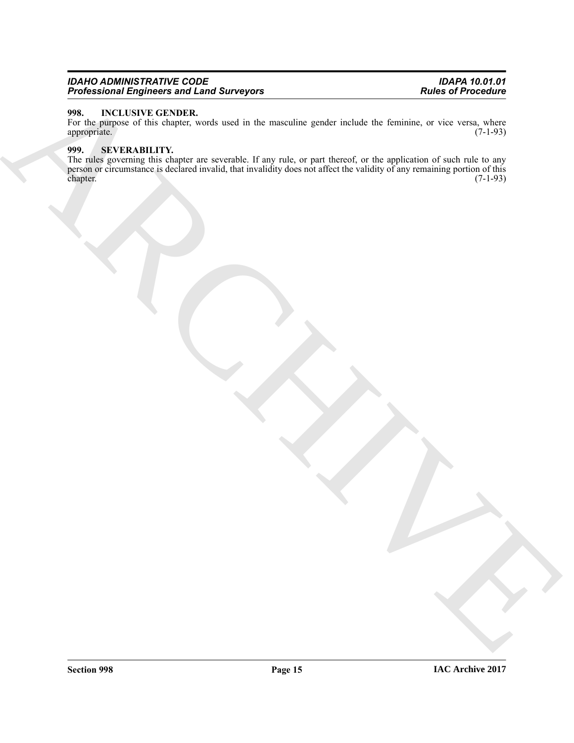#### *IDAHO ADMINISTRATIVE CODE IDAPA 10.01.01 Professional Engineers and Land Surveyors Rules of Procedure*

#### <span id="page-14-0"></span>**998. INCLUSIVE GENDER.**

<span id="page-14-1"></span>For the purpose of this chapter, words used in the masculine gender include the feminine, or vice versa, where appropriate. (7-1-93) appropriate.

ARCHIVE **999.** SEVERABILITY.<br>The rules governing this chapter are severable. If any rule, or part thereof, or the application of such rule to any The rules governing this chapter are severable. If any rule, or part thereof, or the application of such rule to any person or circumstance is declared invalid, that invalidity does not affect the validity of any remaining portion of this chapter. (7-1-93)